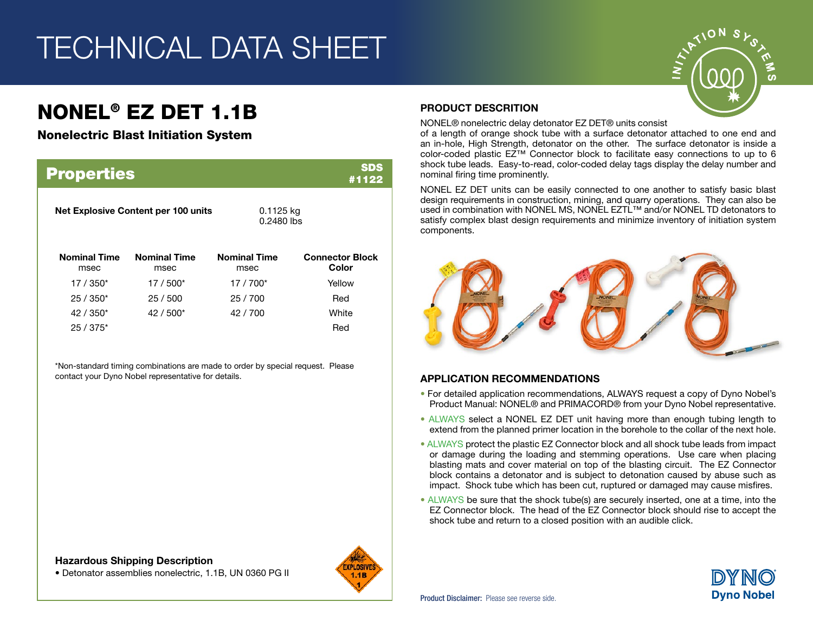## TECHNICAL DATA SHEET

## NONEL® EZ DET 1.1B

#### Nonelectric Blast Initiation System

| <b>SDS</b><br><b>Properties</b><br>#1122 |                             |                             |                                 |  |
|------------------------------------------|-----------------------------|-----------------------------|---------------------------------|--|
| Net Explosive Content per 100 units      |                             | $0.1125$ kg<br>$0.2480$ lbs |                                 |  |
| <b>Nominal Time</b><br>msec              | <b>Nominal Time</b><br>msec | <b>Nominal Time</b><br>msec | <b>Connector Block</b><br>Color |  |
| $17/350*$                                | $17/500*$                   | $17/700*$                   | Yellow                          |  |
| $25/350*$                                | 25/500                      | 25/700                      | Red                             |  |
| $42/350*$                                | $42/500*$                   | 42/700                      | White                           |  |
| $25/375*$                                |                             |                             | Red                             |  |

\*Non-standard timing combinations are made to order by special request. Please contact your Dyno Nobel representative for details.

#### Hazardous Shipping Description

• Detonator assemblies nonelectric, 1.1B, UN 0360 PG II



#### PRODUCT DESCRITION

NONEL® nonelectric delay detonator EZ DET® units consist

of a length of orange shock tube with a surface detonator attached to one end and an in-hole, High Strength, detonator on the other. The surface detonator is inside a color-coded plastic EZ™ Connector block to facilitate easy connections to up to 6 shock tube leads. Easy-to-read, color-coded delay tags display the delay number and nominal firing time prominently.

NONEL EZ DET units can be easily connected to one another to satisfy basic blast design requirements in construction, mining, and quarry operations. They can also be used in combination with NONEL MS, NONEL EZTL™ and/or NONEL TD detonators to satisfy complex blast design requirements and minimize inventory of initiation system components.



#### APPLICATION RECOMMENDATIONS

- For detailed application recommendations, ALWAYS request a copy of Dyno Nobel's Product Manual: NONEL® and PRIMACORD® from your Dyno Nobel representative.
- ALWAYS select a NONEL EZ DET unit having more than enough tubing length to extend from the planned primer location in the borehole to the collar of the next hole.
- ALWAYS protect the plastic EZ Connector block and all shock tube leads from impact or damage during the loading and stemming operations. Use care when placing blasting mats and cover material on top of the blasting circuit. The EZ Connector block contains a detonator and is subject to detonation caused by abuse such as impact. Shock tube which has been cut, ruptured or damaged may cause misfires.
- ALWAYS be sure that the shock tube(s) are securely inserted, one at a time, into the EZ Connector block. The head of the EZ Connector block should rise to accept the shock tube and return to a closed position with an audible click.